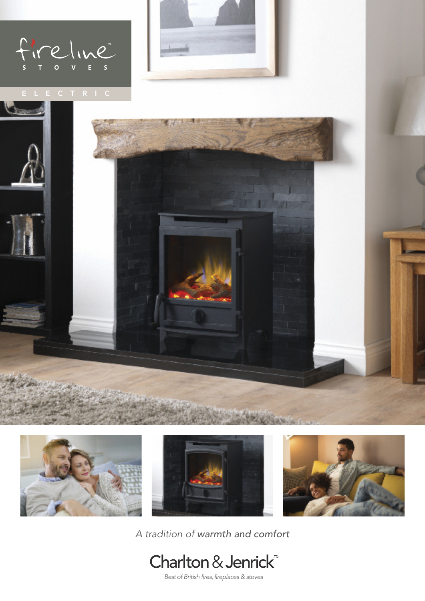







*A tradition of warmth and comfort*



Best of British fires, fireplaces & stoves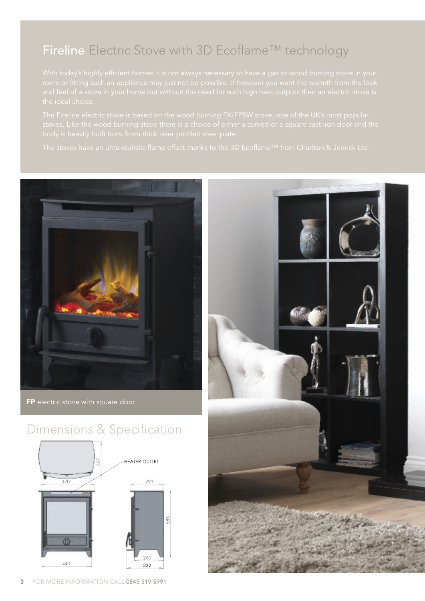## Fireline Electric Stove with 3D Ecoflame™ technology



FP electric stove with square door

### Dimensions & Specification



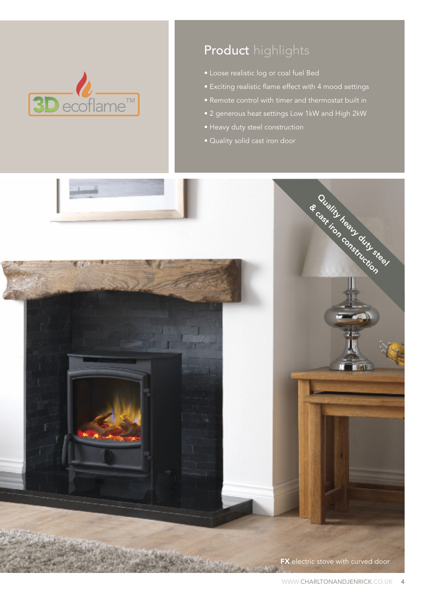

# Product highlights

- Loose realistic log or coal fuel Bed
- Exciting realistic flame effect with 4 mood settings
- Remote control with timer and thermostat built in
- 2 generous heat settings Low 1kW and High 2kW
- Heavy duty steel construction
- Quality solid cast iron door